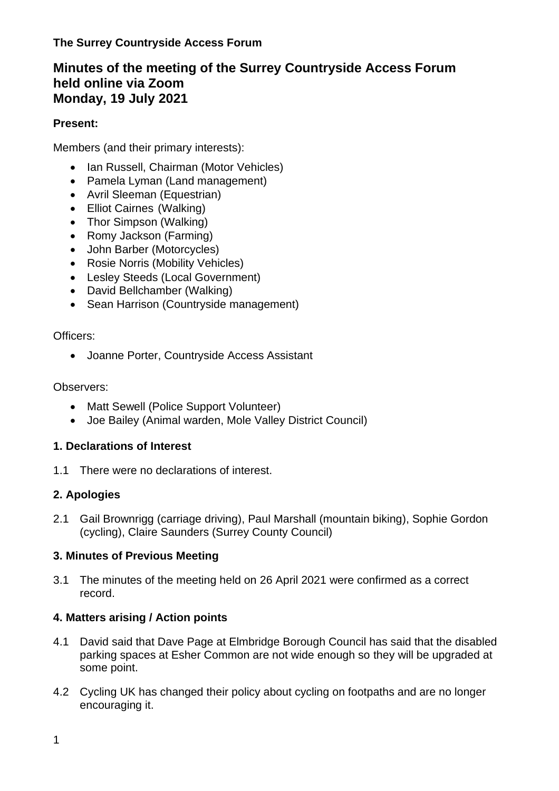# **Minutes of the meeting of the Surrey Countryside Access Forum held online via Zoom Monday, 19 July 2021**

## **Present:**

Members (and their primary interests):

- Ian Russell, Chairman (Motor Vehicles)
- Pamela Lyman (Land management)
- Avril Sleeman (Equestrian)
- Elliot Cairnes (Walking)
- Thor Simpson (Walking)
- Romy Jackson (Farming)
- John Barber (Motorcycles)
- Rosie Norris (Mobility Vehicles)
- Lesley Steeds (Local Government)
- David Bellchamber (Walking)
- Sean Harrison (Countryside management)

### Officers:

• Joanne Porter, Countryside Access Assistant

## Observers:

- Matt Sewell (Police Support Volunteer)
- Joe Bailey (Animal warden, Mole Valley District Council)

## **1. Declarations of Interest**

1.1 There were no declarations of interest.

## **2. Apologies**

2.1 Gail Brownrigg (carriage driving), Paul Marshall (mountain biking), Sophie Gordon (cycling), Claire Saunders (Surrey County Council)

## **3. Minutes of Previous Meeting**

3.1 The minutes of the meeting held on 26 April 2021 were confirmed as a correct record.

## **4. Matters arising / Action points**

- 4.1 David said that Dave Page at Elmbridge Borough Council has said that the disabled parking spaces at Esher Common are not wide enough so they will be upgraded at some point.
- 4.2 Cycling UK has changed their policy about cycling on footpaths and are no longer encouraging it.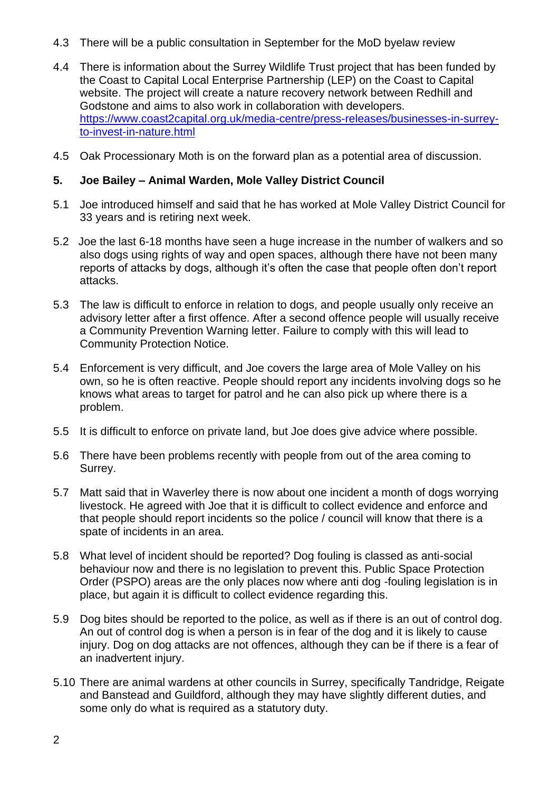- 4.3 There will be a public consultation in September for the MoD byelaw review
- 4.4 There is information about the Surrey Wildlife Trust project that has been funded by the Coast to Capital Local Enterprise Partnership (LEP) on the Coast to Capital website. The project will create a nature recovery network between Redhill and Godstone and aims to also work in collaboration with developers. [https://www.coast2capital.org.uk/media-centre/press-releases/businesses-in-surrey](https://www.coast2capital.org.uk/media-centre/press-releases/businesses-in-surrey-to-invest-in-nature.html)[to-invest-in-nature.html](https://www.coast2capital.org.uk/media-centre/press-releases/businesses-in-surrey-to-invest-in-nature.html)
- 4.5 Oak Processionary Moth is on the forward plan as a potential area of discussion.

#### **5. Joe Bailey – Animal Warden, Mole Valley District Council**

- 5.1 Joe introduced himself and said that he has worked at Mole Valley District Council for 33 years and is retiring next week.
- 5.2 Joe the last 6-18 months have seen a huge increase in the number of walkers and so also dogs using rights of way and open spaces, although there have not been many reports of attacks by dogs, although it's often the case that people often don't report attacks.
- 5.3 The law is difficult to enforce in relation to dogs, and people usually only receive an advisory letter after a first offence. After a second offence people will usually receive a Community Prevention Warning letter. Failure to comply with this will lead to Community Protection Notice.
- 5.4 Enforcement is very difficult, and Joe covers the large area of Mole Valley on his own, so he is often reactive. People should report any incidents involving dogs so he knows what areas to target for patrol and he can also pick up where there is a problem.
- 5.5 It is difficult to enforce on private land, but Joe does give advice where possible.
- 5.6 There have been problems recently with people from out of the area coming to Surrey.
- 5.7 Matt said that in Waverley there is now about one incident a month of dogs worrying livestock. He agreed with Joe that it is difficult to collect evidence and enforce and that people should report incidents so the police / council will know that there is a spate of incidents in an area.
- 5.8 What level of incident should be reported? Dog fouling is classed as anti-social behaviour now and there is no legislation to prevent this. Public Space Protection Order (PSPO) areas are the only places now where anti dog -fouling legislation is in place, but again it is difficult to collect evidence regarding this.
- 5.9 Dog bites should be reported to the police, as well as if there is an out of control dog. An out of control dog is when a person is in fear of the dog and it is likely to cause injury. Dog on dog attacks are not offences, although they can be if there is a fear of an inadvertent injury.
- 5.10 There are animal wardens at other councils in Surrey, specifically Tandridge, Reigate and Banstead and Guildford, although they may have slightly different duties, and some only do what is required as a statutory duty.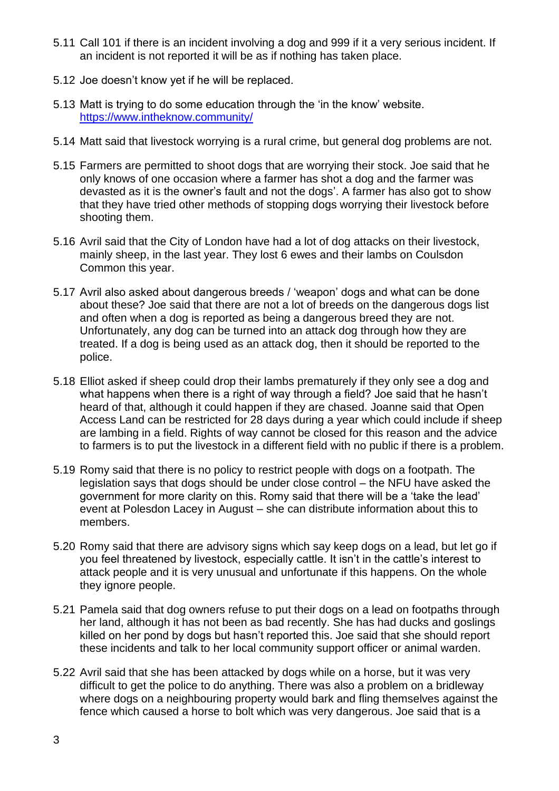- 5.11 Call 101 if there is an incident involving a dog and 999 if it a very serious incident. If an incident is not reported it will be as if nothing has taken place.
- 5.12 Joe doesn't know yet if he will be replaced.
- 5.13 Matt is trying to do some education through the 'in the know' website. <https://www.intheknow.community/>
- 5.14 Matt said that livestock worrying is a rural crime, but general dog problems are not.
- 5.15 Farmers are permitted to shoot dogs that are worrying their stock. Joe said that he only knows of one occasion where a farmer has shot a dog and the farmer was devasted as it is the owner's fault and not the dogs'. A farmer has also got to show that they have tried other methods of stopping dogs worrying their livestock before shooting them.
- 5.16 Avril said that the City of London have had a lot of dog attacks on their livestock, mainly sheep, in the last year. They lost 6 ewes and their lambs on Coulsdon Common this year.
- 5.17 Avril also asked about dangerous breeds / 'weapon' dogs and what can be done about these? Joe said that there are not a lot of breeds on the dangerous dogs list and often when a dog is reported as being a dangerous breed they are not. Unfortunately, any dog can be turned into an attack dog through how they are treated. If a dog is being used as an attack dog, then it should be reported to the police.
- 5.18 Elliot asked if sheep could drop their lambs prematurely if they only see a dog and what happens when there is a right of way through a field? Joe said that he hasn't heard of that, although it could happen if they are chased. Joanne said that Open Access Land can be restricted for 28 days during a year which could include if sheep are lambing in a field. Rights of way cannot be closed for this reason and the advice to farmers is to put the livestock in a different field with no public if there is a problem.
- 5.19 Romy said that there is no policy to restrict people with dogs on a footpath. The legislation says that dogs should be under close control – the NFU have asked the government for more clarity on this. Romy said that there will be a 'take the lead' event at Polesdon Lacey in August – she can distribute information about this to members.
- 5.20 Romy said that there are advisory signs which say keep dogs on a lead, but let go if you feel threatened by livestock, especially cattle. It isn't in the cattle's interest to attack people and it is very unusual and unfortunate if this happens. On the whole they ignore people.
- 5.21 Pamela said that dog owners refuse to put their dogs on a lead on footpaths through her land, although it has not been as bad recently. She has had ducks and goslings killed on her pond by dogs but hasn't reported this. Joe said that she should report these incidents and talk to her local community support officer or animal warden.
- 5.22 Avril said that she has been attacked by dogs while on a horse, but it was very difficult to get the police to do anything. There was also a problem on a bridleway where dogs on a neighbouring property would bark and fling themselves against the fence which caused a horse to bolt which was very dangerous. Joe said that is a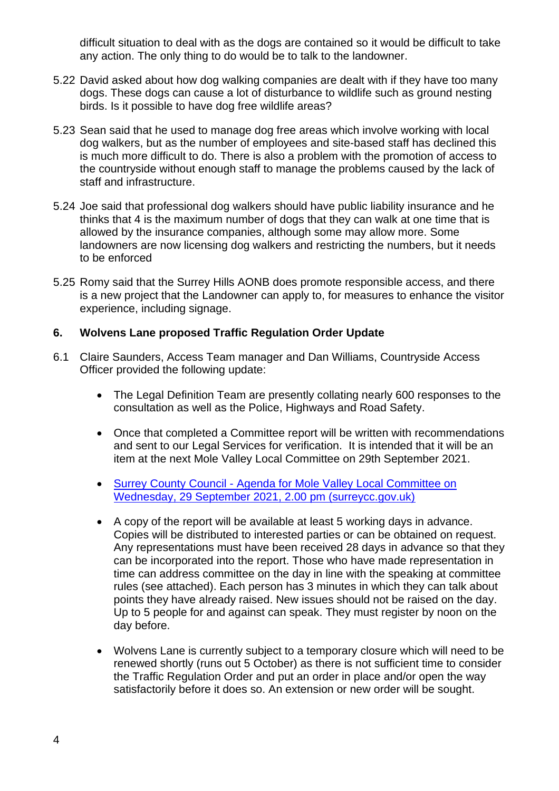difficult situation to deal with as the dogs are contained so it would be difficult to take any action. The only thing to do would be to talk to the landowner.

- 5.22 David asked about how dog walking companies are dealt with if they have too many dogs. These dogs can cause a lot of disturbance to wildlife such as ground nesting birds. Is it possible to have dog free wildlife areas?
- 5.23 Sean said that he used to manage dog free areas which involve working with local dog walkers, but as the number of employees and site-based staff has declined this is much more difficult to do. There is also a problem with the promotion of access to the countryside without enough staff to manage the problems caused by the lack of staff and infrastructure.
- 5.24 Joe said that professional dog walkers should have public liability insurance and he thinks that 4 is the maximum number of dogs that they can walk at one time that is allowed by the insurance companies, although some may allow more. Some landowners are now licensing dog walkers and restricting the numbers, but it needs to be enforced
- 5.25 Romy said that the Surrey Hills AONB does promote responsible access, and there is a new project that the Landowner can apply to, for measures to enhance the visitor experience, including signage.

#### **6. Wolvens Lane proposed Traffic Regulation Order Update**

- 6.1 Claire Saunders, Access Team manager and Dan Williams, Countryside Access Officer provided the following update:
	- The Legal Definition Team are presently collating nearly 600 responses to the consultation as well as the Police, Highways and Road Safety.
	- Once that completed a Committee report will be written with recommendations and sent to our Legal Services for verification. It is intended that it will be an item at the next Mole Valley Local Committee on 29th September 2021.
	- Surrey County Council [Agenda for Mole Valley Local Committee on](https://mycouncil.surreycc.gov.uk/ieListDocuments.aspx?CId=165&MId=8145&Ver=4)  [Wednesday, 29 September 2021, 2.00 pm \(surreycc.gov.uk\)](https://mycouncil.surreycc.gov.uk/ieListDocuments.aspx?CId=165&MId=8145&Ver=4)
	- A copy of the report will be available at least 5 working days in advance. Copies will be distributed to interested parties or can be obtained on request. Any representations must have been received 28 days in advance so that they can be incorporated into the report. Those who have made representation in time can address committee on the day in line with the speaking at committee rules (see attached). Each person has 3 minutes in which they can talk about points they have already raised. New issues should not be raised on the day. Up to 5 people for and against can speak. They must register by noon on the day before.
	- Wolvens Lane is currently subject to a temporary closure which will need to be renewed shortly (runs out 5 October) as there is not sufficient time to consider the Traffic Regulation Order and put an order in place and/or open the way satisfactorily before it does so. An extension or new order will be sought.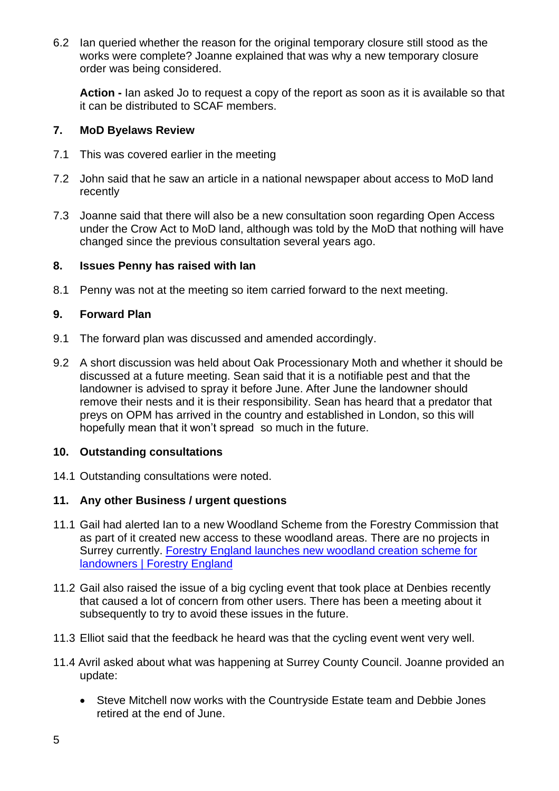6.2 Ian queried whether the reason for the original temporary closure still stood as the works were complete? Joanne explained that was why a new temporary closure order was being considered.

**Action -** Ian asked Jo to request a copy of the report as soon as it is available so that it can be distributed to SCAF members.

#### **7. MoD Byelaws Review**

- 7.1 This was covered earlier in the meeting
- 7.2 John said that he saw an article in a national newspaper about access to MoD land recently
- 7.3 Joanne said that there will also be a new consultation soon regarding Open Access under the Crow Act to MoD land, although was told by the MoD that nothing will have changed since the previous consultation several years ago.

#### **8. Issues Penny has raised with Ian**

8.1 Penny was not at the meeting so item carried forward to the next meeting.

#### **9. Forward Plan**

- 9.1 The forward plan was discussed and amended accordingly.
- 9.2 A short discussion was held about Oak Processionary Moth and whether it should be discussed at a future meeting. Sean said that it is a notifiable pest and that the landowner is advised to spray it before June. After June the landowner should remove their nests and it is their responsibility. Sean has heard that a predator that preys on OPM has arrived in the country and established in London, so this will hopefully mean that it won't spread so much in the future.

#### **10. Outstanding consultations**

14.1 Outstanding consultations were noted.

#### **11. Any other Business / urgent questions**

- 11.1 Gail had alerted Ian to a new Woodland Scheme from the Forestry Commission that as part of it created new access to these woodland areas. There are no projects in Surrey currently. [Forestry England launches new woodland creation scheme for](https://www.forestryengland.uk/news/forestry-england-launches-new-woodland-creation-scheme-landowners)  **[landowners | Forestry England](https://www.forestryengland.uk/news/forestry-england-launches-new-woodland-creation-scheme-landowners)**
- 11.2 Gail also raised the issue of a big cycling event that took place at Denbies recently that caused a lot of concern from other users. There has been a meeting about it subsequently to try to avoid these issues in the future.
- 11.3 Elliot said that the feedback he heard was that the cycling event went very well.
- 11.4 Avril asked about what was happening at Surrey County Council. Joanne provided an update:
	- Steve Mitchell now works with the Countryside Estate team and Debbie Jones retired at the end of June.